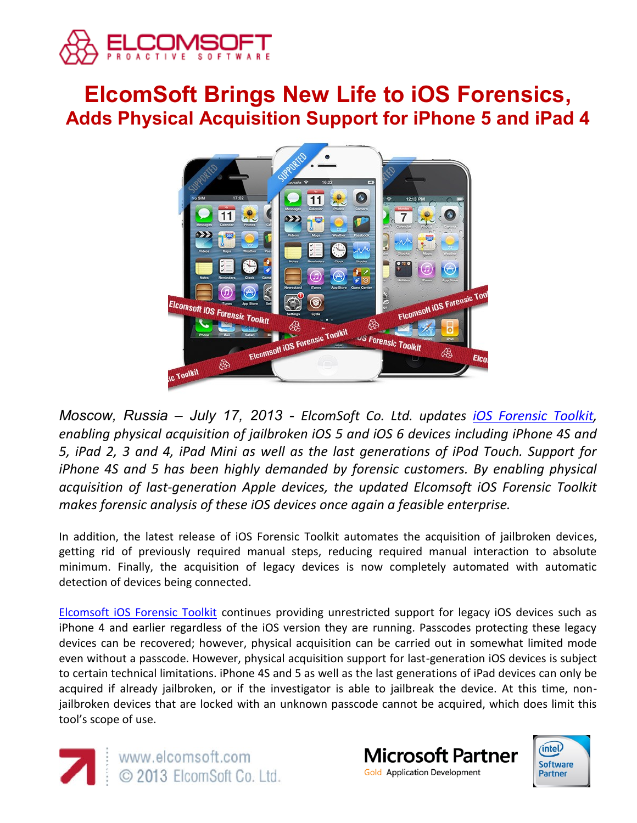

# **ElcomSoft Brings New Life to iOS Forensics, Adds Physical Acquisition Support for iPhone 5 and iPad 4**



*Moscow, Russia – July 17, 2013 - ElcomSoft Co. Ltd. updates [iOS Forensic Toolkit,](http://ios.elcomsoft.com/) enabling physical acquisition of jailbroken iOS 5 and iOS 6 devices including iPhone 4S and 5, iPad 2, 3 and 4, iPad Mini as well as the last generations of iPod Touch. Support for iPhone 4S and 5 has been highly demanded by forensic customers. By enabling physical acquisition of last-generation Apple devices, the updated Elcomsoft iOS Forensic Toolkit makes forensic analysis of these iOS devices once again a feasible enterprise.*

In addition, the latest release of iOS Forensic Toolkit automates the acquisition of jailbroken devices, getting rid of previously required manual steps, reducing required manual interaction to absolute minimum. Finally, the acquisition of legacy devices is now completely automated with automatic detection of devices being connected.

[Elcomsoft iOS Forensic Toolkit](http://ios.elcomsoft.com/) continues providing unrestricted support for legacy iOS devices such as iPhone 4 and earlier regardless of the iOS version they are running. Passcodes protecting these legacy devices can be recovered; however, physical acquisition can be carried out in somewhat limited mode even without a passcode. However, physical acquisition support for last-generation iOS devices is subject to certain technical limitations. iPhone 4S and 5 as well as the last generations of iPad devices can only be acquired if already jailbroken, or if the investigator is able to jailbreak the device. At this time, nonjailbroken devices that are locked with an unknown passcode cannot be acquired, which does limit this tool's scope of use.





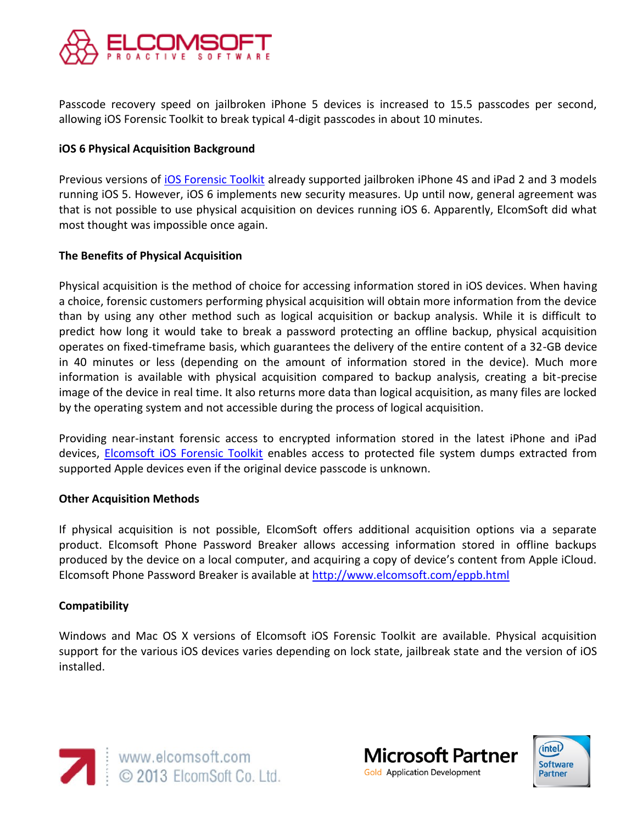

Passcode recovery speed on jailbroken iPhone 5 devices is increased to 15.5 passcodes per second, allowing iOS Forensic Toolkit to break typical 4-digit passcodes in about 10 minutes.

## **iOS 6 Physical Acquisition Background**

Previous versions of [iOS Forensic Toolkit](http://ios.elcomsoft.com/) already supported jailbroken iPhone 4S and iPad 2 and 3 models running iOS 5. However, iOS 6 implements new security measures. Up until now, general agreement was that is not possible to use physical acquisition on devices running iOS 6. Apparently, ElcomSoft did what most thought was impossible once again.

### **The Benefits of Physical Acquisition**

Physical acquisition is the method of choice for accessing information stored in iOS devices. When having a choice, forensic customers performing physical acquisition will obtain more information from the device than by using any other method such as logical acquisition or backup analysis. While it is difficult to predict how long it would take to break a password protecting an offline backup, physical acquisition operates on fixed-timeframe basis, which guarantees the delivery of the entire content of a 32-GB device in 40 minutes or less (depending on the amount of information stored in the device). Much more information is available with physical acquisition compared to backup analysis, creating a bit-precise image of the device in real time. It also returns more data than logical acquisition, as many files are locked by the operating system and not accessible during the process of logical acquisition.

Providing near-instant forensic access to encrypted information stored in the latest iPhone and iPad devices, [Elcomsoft iOS Forensic Toolkit](http://ios.elcomsoft.com/) enables access to protected file system dumps extracted from supported Apple devices even if the original device passcode is unknown.

### **Other Acquisition Methods**

If physical acquisition is not possible, ElcomSoft offers additional acquisition options via a separate product. Elcomsoft Phone Password Breaker allows accessing information stored in offline backups produced by the device on a local computer, and acquiring a copy of device's content from Apple iCloud. Elcomsoft Phone Password Breaker is available at<http://www.elcomsoft.com/eppb.html>

### **Compatibility**

Windows and Mac OS X versions of Elcomsoft iOS Forensic Toolkit are available. Physical acquisition support for the various iOS devices varies depending on lock state, jailbreak state and the version of iOS installed.